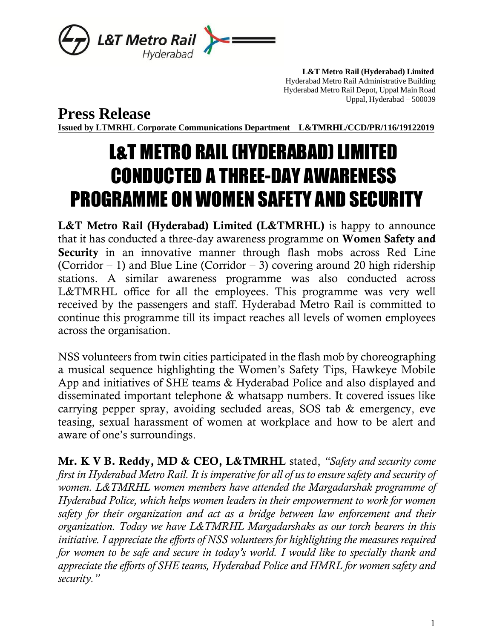

 **L&T Metro Rail (Hyderabad) Limited** Hyderabad Metro Rail Administrative Building Hyderabad Metro Rail Depot, Uppal Main Road Uppal, Hyderabad – 500039

**Press Release**

**Issued by LTMRHL Corporate Communications Department L&TMRHL/CCD/PR/116/19122019**

## L&T METRO RAIL (HYDERABAD) LIMITED CONDUCTED A THREE-DAY AWARENESS PROGRAMME ON WOMEN SAFETY AND SECURITY

L&T Metro Rail (Hyderabad) Limited (L&TMRHL) is happy to announce that it has conducted a three-day awareness programme on Women Safety and Security in an innovative manner through flash mobs across Red Line (Corridor – 1) and Blue Line (Corridor – 3) covering around 20 high ridership stations. A similar awareness programme was also conducted across L&TMRHL office for all the employees. This programme was very well received by the passengers and staff. Hyderabad Metro Rail is committed to continue this programme till its impact reaches all levels of women employees across the organisation.

NSS volunteers from twin cities participated in the flash mob by choreographing a musical sequence highlighting the Women's Safety Tips, Hawkeye Mobile App and initiatives of SHE teams & Hyderabad Police and also displayed and disseminated important telephone & whatsapp numbers. It covered issues like carrying pepper spray, avoiding secluded areas, SOS tab & emergency, eve teasing, sexual harassment of women at workplace and how to be alert and aware of one's surroundings.

Mr. K V B. Reddy, MD & CEO, L&TMRHL stated, *"Safety and security come first in Hyderabad Metro Rail. It is imperative for all of us to ensure safety and security of women. L&TMRHL women members have attended the Margadarshak programme of Hyderabad Police, which helps women leaders in their empowerment to work for women safety for their organization and act as a bridge between law enforcement and their organization. Today we have L&TMRHL Margadarshaks as our torch bearers in this initiative. I appreciate the efforts of NSS volunteers for highlighting the measures required for women to be safe and secure in today's world. I would like to specially thank and appreciate the efforts of SHE teams, Hyderabad Police and HMRL for women safety and security."*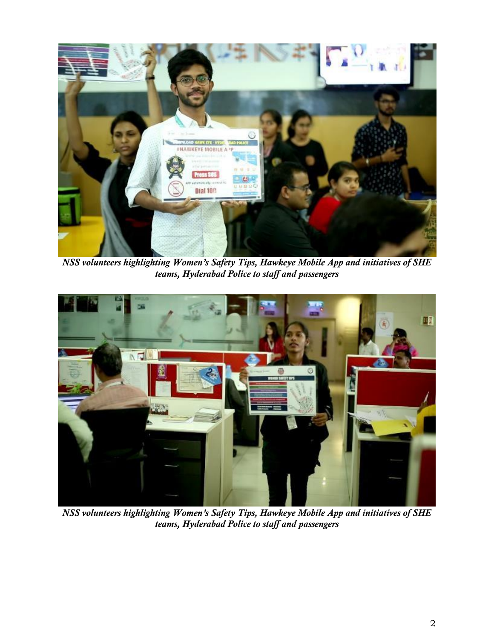

*NSS volunteers highlighting Women's Safety Tips, Hawkeye Mobile App and initiatives of SHE teams, Hyderabad Police to staff and passengers*



*NSS volunteers highlighting Women's Safety Tips, Hawkeye Mobile App and initiatives of SHE teams, Hyderabad Police to staff and passengers*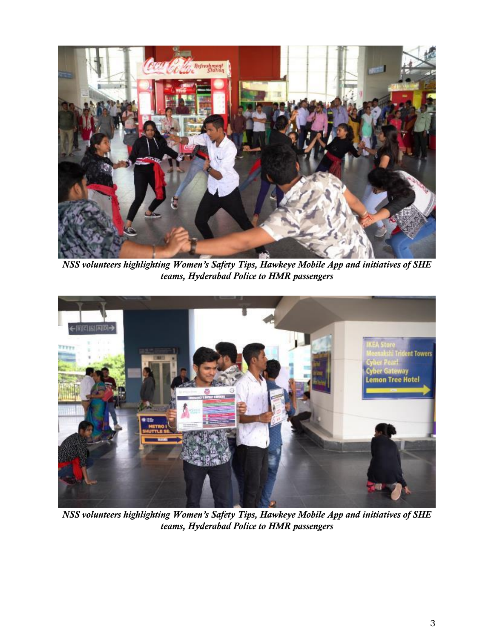

*NSS volunteers highlighting Women's Safety Tips, Hawkeye Mobile App and initiatives of SHE teams, Hyderabad Police to HMR passengers*



*NSS volunteers highlighting Women's Safety Tips, Hawkeye Mobile App and initiatives of SHE teams, Hyderabad Police to HMR passengers*